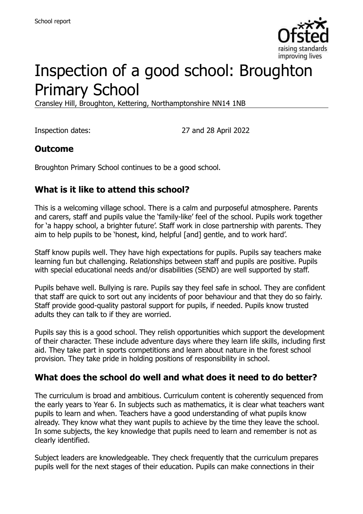

# Inspection of a good school: Broughton Primary School

Cransley Hill, Broughton, Kettering, Northamptonshire NN14 1NB

Inspection dates: 27 and 28 April 2022

#### **Outcome**

Broughton Primary School continues to be a good school.

### **What is it like to attend this school?**

This is a welcoming village school. There is a calm and purposeful atmosphere. Parents and carers, staff and pupils value the 'family-like' feel of the school. Pupils work together for 'a happy school, a brighter future'. Staff work in close partnership with parents. They aim to help pupils to be 'honest, kind, helpful [and] gentle, and to work hard'.

Staff know pupils well. They have high expectations for pupils. Pupils say teachers make learning fun but challenging. Relationships between staff and pupils are positive. Pupils with special educational needs and/or disabilities (SEND) are well supported by staff.

Pupils behave well. Bullying is rare. Pupils say they feel safe in school. They are confident that staff are quick to sort out any incidents of poor behaviour and that they do so fairly. Staff provide good-quality pastoral support for pupils, if needed. Pupils know trusted adults they can talk to if they are worried.

Pupils say this is a good school. They relish opportunities which support the development of their character. These include adventure days where they learn life skills, including first aid. They take part in sports competitions and learn about nature in the forest school provision. They take pride in holding positions of responsibility in school.

#### **What does the school do well and what does it need to do better?**

The curriculum is broad and ambitious. Curriculum content is coherently sequenced from the early years to Year 6. In subjects such as mathematics, it is clear what teachers want pupils to learn and when. Teachers have a good understanding of what pupils know already. They know what they want pupils to achieve by the time they leave the school. In some subjects, the key knowledge that pupils need to learn and remember is not as clearly identified.

Subject leaders are knowledgeable. They check frequently that the curriculum prepares pupils well for the next stages of their education. Pupils can make connections in their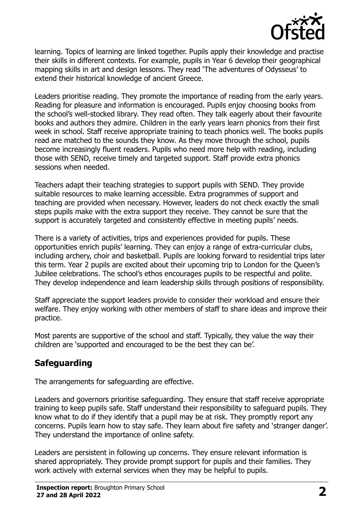

learning. Topics of learning are linked together. Pupils apply their knowledge and practise their skills in different contexts. For example, pupils in Year 6 develop their geographical mapping skills in art and design lessons. They read 'The adventures of Odysseus' to extend their historical knowledge of ancient Greece.

Leaders prioritise reading. They promote the importance of reading from the early years. Reading for pleasure and information is encouraged. Pupils enjoy choosing books from the school's well-stocked library. They read often. They talk eagerly about their favourite books and authors they admire. Children in the early years learn phonics from their first week in school. Staff receive appropriate training to teach phonics well. The books pupils read are matched to the sounds they know. As they move through the school, pupils become increasingly fluent readers. Pupils who need more help with reading, including those with SEND, receive timely and targeted support. Staff provide extra phonics sessions when needed.

Teachers adapt their teaching strategies to support pupils with SEND. They provide suitable resources to make learning accessible. Extra programmes of support and teaching are provided when necessary. However, leaders do not check exactly the small steps pupils make with the extra support they receive. They cannot be sure that the support is accurately targeted and consistently effective in meeting pupils' needs.

There is a variety of activities, trips and experiences provided for pupils. These opportunities enrich pupils' learning. They can enjoy a range of extra-curricular clubs, including archery, choir and basketball. Pupils are looking forward to residential trips later this term. Year 2 pupils are excited about their upcoming trip to London for the Queen's Jubilee celebrations. The school's ethos encourages pupils to be respectful and polite. They develop independence and learn leadership skills through positions of responsibility.

Staff appreciate the support leaders provide to consider their workload and ensure their welfare. They enjoy working with other members of staff to share ideas and improve their practice.

Most parents are supportive of the school and staff. Typically, they value the way their children are 'supported and encouraged to be the best they can be'.

# **Safeguarding**

The arrangements for safeguarding are effective.

Leaders and governors prioritise safeguarding. They ensure that staff receive appropriate training to keep pupils safe. Staff understand their responsibility to safeguard pupils. They know what to do if they identify that a pupil may be at risk. They promptly report any concerns. Pupils learn how to stay safe. They learn about fire safety and 'stranger danger'. They understand the importance of online safety.

Leaders are persistent in following up concerns. They ensure relevant information is shared appropriately. They provide prompt support for pupils and their families. They work actively with external services when they may be helpful to pupils.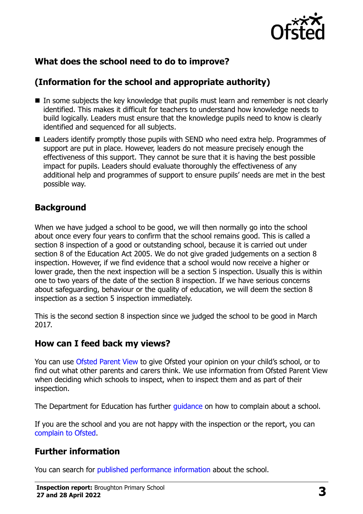

# **What does the school need to do to improve?**

# **(Information for the school and appropriate authority)**

- In some subjects the key knowledge that pupils must learn and remember is not clearly identified. This makes it difficult for teachers to understand how knowledge needs to build logically. Leaders must ensure that the knowledge pupils need to know is clearly identified and sequenced for all subjects.
- Leaders identify promptly those pupils with SEND who need extra help. Programmes of support are put in place. However, leaders do not measure precisely enough the effectiveness of this support. They cannot be sure that it is having the best possible impact for pupils. Leaders should evaluate thoroughly the effectiveness of any additional help and programmes of support to ensure pupils' needs are met in the best possible way.

#### **Background**

When we have judged a school to be good, we will then normally go into the school about once every four years to confirm that the school remains good. This is called a section 8 inspection of a good or outstanding school, because it is carried out under section 8 of the Education Act 2005. We do not give graded judgements on a section 8 inspection. However, if we find evidence that a school would now receive a higher or lower grade, then the next inspection will be a section 5 inspection. Usually this is within one to two years of the date of the section 8 inspection. If we have serious concerns about safeguarding, behaviour or the quality of education, we will deem the section 8 inspection as a section 5 inspection immediately.

This is the second section 8 inspection since we judged the school to be good in March 2017.

#### **How can I feed back my views?**

You can use [Ofsted Parent View](https://parentview.ofsted.gov.uk/) to give Ofsted your opinion on your child's school, or to find out what other parents and carers think. We use information from Ofsted Parent View when deciding which schools to inspect, when to inspect them and as part of their inspection.

The Department for Education has further quidance on how to complain about a school.

If you are the school and you are not happy with the inspection or the report, you can [complain to Ofsted.](https://www.gov.uk/complain-ofsted-report)

#### **Further information**

You can search for [published performance information](http://www.compare-school-performance.service.gov.uk/) about the school.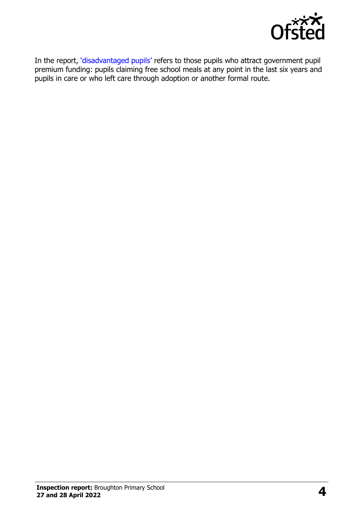

In the report, '[disadvantaged pupils](http://www.gov.uk/guidance/pupil-premium-information-for-schools-and-alternative-provision-settings)' refers to those pupils who attract government pupil premium funding: pupils claiming free school meals at any point in the last six years and pupils in care or who left care through adoption or another formal route.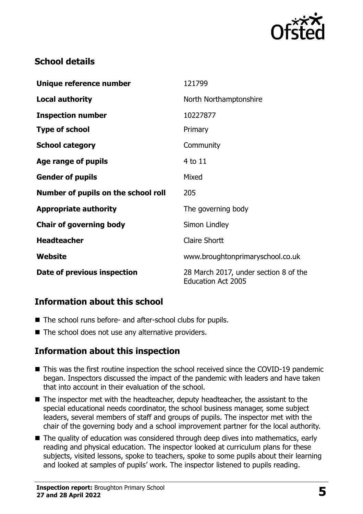

# **School details**

| Unique reference number             | 121799                                                             |
|-------------------------------------|--------------------------------------------------------------------|
| <b>Local authority</b>              | North Northamptonshire                                             |
| <b>Inspection number</b>            | 10227877                                                           |
| <b>Type of school</b>               | Primary                                                            |
| <b>School category</b>              | Community                                                          |
| Age range of pupils                 | 4 to 11                                                            |
| <b>Gender of pupils</b>             | Mixed                                                              |
| Number of pupils on the school roll | 205                                                                |
| <b>Appropriate authority</b>        | The governing body                                                 |
| <b>Chair of governing body</b>      | Simon Lindley                                                      |
| <b>Headteacher</b>                  | <b>Claire Shortt</b>                                               |
| <b>Website</b>                      | www.broughtonprimaryschool.co.uk                                   |
| Date of previous inspection         | 28 March 2017, under section 8 of the<br><b>Education Act 2005</b> |

# **Information about this school**

- The school runs before- and after-school clubs for pupils.
- The school does not use any alternative providers.

# **Information about this inspection**

- This was the first routine inspection the school received since the COVID-19 pandemic began. Inspectors discussed the impact of the pandemic with leaders and have taken that into account in their evaluation of the school.
- The inspector met with the headteacher, deputy headteacher, the assistant to the special educational needs coordinator, the school business manager, some subject leaders, several members of staff and groups of pupils. The inspector met with the chair of the governing body and a school improvement partner for the local authority.
- The quality of education was considered through deep dives into mathematics, early reading and physical education. The inspector looked at curriculum plans for these subjects, visited lessons, spoke to teachers, spoke to some pupils about their learning and looked at samples of pupils' work. The inspector listened to pupils reading.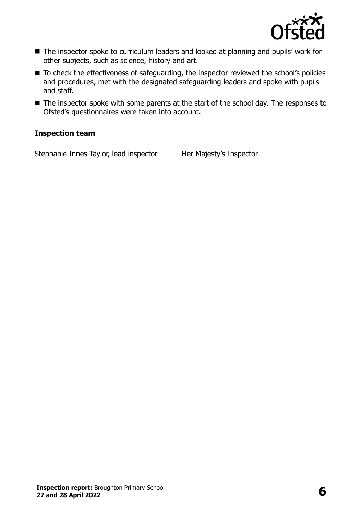

- The inspector spoke to curriculum leaders and looked at planning and pupils' work for other subjects, such as science, history and art.
- To check the effectiveness of safeguarding, the inspector reviewed the school's policies and procedures, met with the designated safeguarding leaders and spoke with pupils and staff.
- The inspector spoke with some parents at the start of the school day. The responses to Ofsted's questionnaires were taken into account.

#### **Inspection team**

Stephanie Innes-Taylor, lead inspector Her Majesty's Inspector